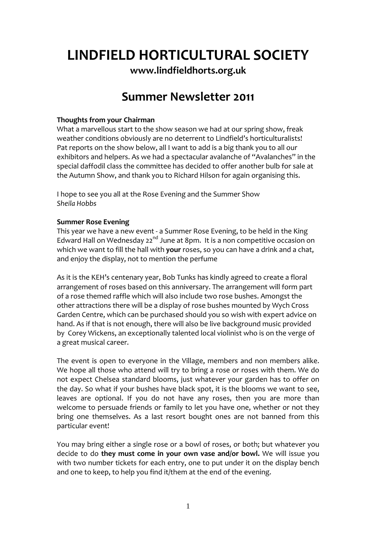# **LINDFIELD HORTICULTURAL SOCIETY**

**[www.lindfieldhorts.org.uk](http://www.lindfieldhorts.org.uk/)**

# **Summer Newsletter 2011**

### **Thoughts from your Chairman**

What a marvellous start to the show season we had at our spring show, freak weather conditions obviously are no deterrent to Lindfield's horticulturalists! Pat reports on the show below, all I want to add is a big thank you to all our exhibitors and helpers. As we had a spectacular avalanche of "Avalanches" in the special daffodil class the committee has decided to offer another bulb for sale at the Autumn Show, and thank you to Richard Hilson for again organising this.

I hope to see you all at the Rose Evening and the Summer Show *Sheila Hobbs*

## **Summer Rose Evening**

This year we have a new event ‐ a Summer Rose Evening, to be held in the King Edward Hall on Wednesday 22<sup>nd</sup> June at 8pm. It is a non competitive occasion on which we want to fill the hall with **your** roses, so you can have a drink and a chat, and enjoy the display, not to mention the perfume

As it is the KEH's centenary year, Bob Tunks has kindly agreed to create a floral arrangement of roses based on this anniversary. The arrangement will form part of a rose themed raffle which will also include two rose bushes. Amongst the other attractions there will be a display of rose bushes mounted by Wych Cross Garden Centre, which can be purchased should you so wish with expert advice on hand. As if that is not enough, there will also be live background music provided by Corey Wickens, an exceptionally talented local violinist who is on the verge of a great musical career.

The event is open to everyone in the Village, members and non members alike. We hope all those who attend will try to bring a rose or roses with them. We do not expect Chelsea standard blooms, just whatever your garden has to offer on the day. So what if your bushes have black spot, it is the blooms we want to see, leaves are optional. If you do not have any roses, then you are more than welcome to persuade friends or family to let you have one, whether or not they bring one themselves. As a last resort bought ones are not banned from this particular event!

You may bring either a single rose or a bowl of roses, or both; but whatever you decide to do **they must come in your own vase and/or bowl.** We will issue you with two number tickets for each entry, one to put under it on the display bench and one to keep, to help you find it/them at the end of the evening.